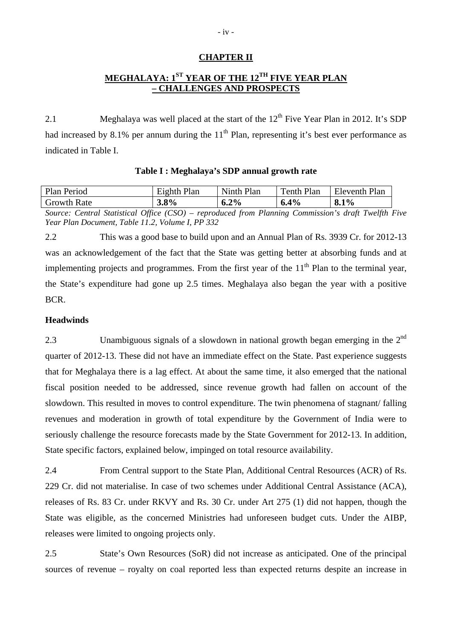# **CHAPTER II**

# **MEGHALAYA: 1<sup>ST</sup> YEAR OF THE 12<sup>TH</sup> FIVE YEAR PLAN – CHALLENGES AND PROSPECTS**

2.1 Meghalaya was well placed at the start of the  $12<sup>th</sup>$  Five Year Plan in 2012. It's SDP had increased by 8.1% per annum during the  $11<sup>th</sup>$  Plan, representing it's best ever performance as indicated in Table I.

| Plan Period        | Eighth Plan | Ninth<br>Plan | Tenth Plan<br>m | Eleventh Plan |
|--------------------|-------------|---------------|-----------------|---------------|
| <b>Growth Rate</b> | $3.8\%$     | $2\%$<br>0.Z  | .4%<br>0.4      | 8.1%          |

**Table I : Meghalaya's SDP annual growth rate** 

*Source: Central Statistical Office (CSO) – reproduced from Planning Commission's draft Twelfth Five Year Plan Document, Table 11.2, Volume I, PP 332* 

2.2 This was a good base to build upon and an Annual Plan of Rs. 3939 Cr. for 2012-13 was an acknowledgement of the fact that the State was getting better at absorbing funds and at implementing projects and programmes. From the first year of the  $11<sup>th</sup>$  Plan to the terminal year, the State's expenditure had gone up 2.5 times. Meghalaya also began the year with a positive BCR.

#### **Headwinds**

2.3 Unambiguous signals of a slowdown in national growth began emerging in the 2<sup>nd</sup> quarter of 2012-13. These did not have an immediate effect on the State. Past experience suggests that for Meghalaya there is a lag effect. At about the same time, it also emerged that the national fiscal position needed to be addressed, since revenue growth had fallen on account of the slowdown. This resulted in moves to control expenditure. The twin phenomena of stagnant/ falling revenues and moderation in growth of total expenditure by the Government of India were to seriously challenge the resource forecasts made by the State Government for 2012-13. In addition, State specific factors, explained below, impinged on total resource availability.

2.4 From Central support to the State Plan, Additional Central Resources (ACR) of Rs. 229 Cr. did not materialise. In case of two schemes under Additional Central Assistance (ACA), releases of Rs. 83 Cr. under RKVY and Rs. 30 Cr. under Art 275 (1) did not happen, though the State was eligible, as the concerned Ministries had unforeseen budget cuts. Under the AIBP, releases were limited to ongoing projects only.

2.5 State's Own Resources (SoR) did not increase as anticipated. One of the principal sources of revenue – royalty on coal reported less than expected returns despite an increase in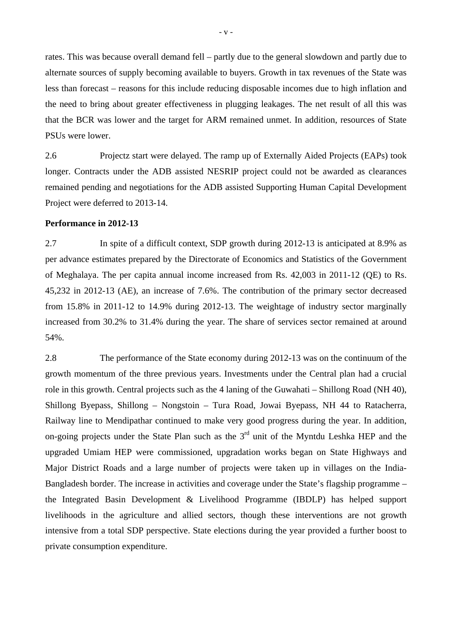rates. This was because overall demand fell – partly due to the general slowdown and partly due to alternate sources of supply becoming available to buyers. Growth in tax revenues of the State was less than forecast – reasons for this include reducing disposable incomes due to high inflation and the need to bring about greater effectiveness in plugging leakages. The net result of all this was that the BCR was lower and the target for ARM remained unmet. In addition, resources of State PSUs were lower.

2.6 Projectz start were delayed. The ramp up of Externally Aided Projects (EAPs) took longer. Contracts under the ADB assisted NESRIP project could not be awarded as clearances remained pending and negotiations for the ADB assisted Supporting Human Capital Development Project were deferred to 2013-14.

### **Performance in 2012-13**

2.7 In spite of a difficult context, SDP growth during 2012-13 is anticipated at 8.9% as per advance estimates prepared by the Directorate of Economics and Statistics of the Government of Meghalaya. The per capita annual income increased from Rs. 42,003 in 2011-12 (QE) to Rs. 45,232 in 2012-13 (AE), an increase of 7.6%. The contribution of the primary sector decreased from 15.8% in 2011-12 to 14.9% during 2012-13. The weightage of industry sector marginally increased from 30.2% to 31.4% during the year. The share of services sector remained at around 54%.

2.8 The performance of the State economy during 2012-13 was on the continuum of the growth momentum of the three previous years. Investments under the Central plan had a crucial role in this growth. Central projects such as the 4 laning of the Guwahati – Shillong Road (NH 40), Shillong Byepass, Shillong – Nongstoin – Tura Road, Jowai Byepass, NH 44 to Ratacherra, Railway line to Mendipathar continued to make very good progress during the year. In addition, on-going projects under the State Plan such as the  $3<sup>rd</sup>$  unit of the Myntdu Leshka HEP and the upgraded Umiam HEP were commissioned, upgradation works began on State Highways and Major District Roads and a large number of projects were taken up in villages on the India-Bangladesh border. The increase in activities and coverage under the State's flagship programme – the Integrated Basin Development & Livelihood Programme (IBDLP) has helped support livelihoods in the agriculture and allied sectors, though these interventions are not growth intensive from a total SDP perspective. State elections during the year provided a further boost to private consumption expenditure.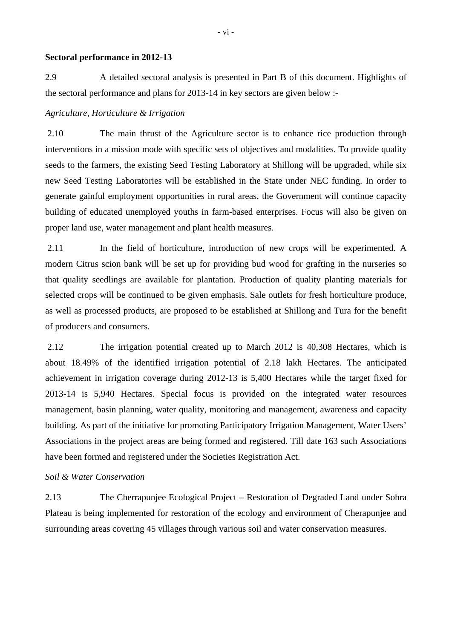#### **Sectoral performance in 2012-13**

2.9 A detailed sectoral analysis is presented in Part B of this document. Highlights of the sectoral performance and plans for 2013-14 in key sectors are given below :-

### *Agriculture, Horticulture & Irrigation*

 2.10 The main thrust of the Agriculture sector is to enhance rice production through interventions in a mission mode with specific sets of objectives and modalities. To provide quality seeds to the farmers, the existing Seed Testing Laboratory at Shillong will be upgraded, while six new Seed Testing Laboratories will be established in the State under NEC funding. In order to generate gainful employment opportunities in rural areas, the Government will continue capacity building of educated unemployed youths in farm-based enterprises. Focus will also be given on proper land use, water management and plant health measures.

2.11 In the field of horticulture, introduction of new crops will be experimented. A modern Citrus scion bank will be set up for providing bud wood for grafting in the nurseries so that quality seedlings are available for plantation. Production of quality planting materials for selected crops will be continued to be given emphasis. Sale outlets for fresh horticulture produce, as well as processed products, are proposed to be established at Shillong and Tura for the benefit of producers and consumers.

 2.12 The irrigation potential created up to March 2012 is 40,308 Hectares, which is about 18.49% of the identified irrigation potential of 2.18 lakh Hectares. The anticipated achievement in irrigation coverage during 2012-13 is 5,400 Hectares while the target fixed for 2013-14 is 5,940 Hectares. Special focus is provided on the integrated water resources management, basin planning, water quality, monitoring and management, awareness and capacity building. As part of the initiative for promoting Participatory Irrigation Management, Water Users' Associations in the project areas are being formed and registered. Till date 163 such Associations have been formed and registered under the Societies Registration Act.

# *Soil & Water Conservation*

2.13 The Cherrapunjee Ecological Project – Restoration of Degraded Land under Sohra Plateau is being implemented for restoration of the ecology and environment of Cherapunjee and surrounding areas covering 45 villages through various soil and water conservation measures.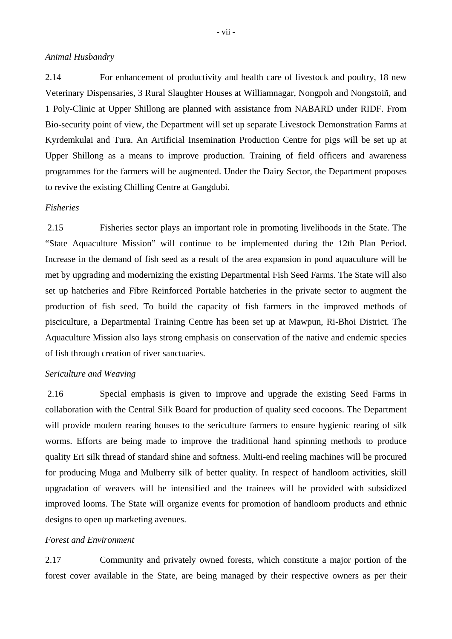## *Animal Husbandry*

2.14 For enhancement of productivity and health care of livestock and poultry, 18 new Veterinary Dispensaries, 3 Rural Slaughter Houses at Williamnagar, Nongpoh and Nongstoiñ, and 1 Poly-Clinic at Upper Shillong are planned with assistance from NABARD under RIDF. From Bio-security point of view, the Department will set up separate Livestock Demonstration Farms at Kyrdemkulai and Tura. An Artificial Insemination Production Centre for pigs will be set up at Upper Shillong as a means to improve production. Training of field officers and awareness programmes for the farmers will be augmented. Under the Dairy Sector, the Department proposes to revive the existing Chilling Centre at Gangdubi.

### *Fisheries*

 2.15 Fisheries sector plays an important role in promoting livelihoods in the State. The "State Aquaculture Mission" will continue to be implemented during the 12th Plan Period. Increase in the demand of fish seed as a result of the area expansion in pond aquaculture will be met by upgrading and modernizing the existing Departmental Fish Seed Farms. The State will also set up hatcheries and Fibre Reinforced Portable hatcheries in the private sector to augment the production of fish seed. To build the capacity of fish farmers in the improved methods of pisciculture, a Departmental Training Centre has been set up at Mawpun, Ri-Bhoi District. The Aquaculture Mission also lays strong emphasis on conservation of the native and endemic species of fish through creation of river sanctuaries.

# *Sericulture and Weaving*

 2.16 Special emphasis is given to improve and upgrade the existing Seed Farms in collaboration with the Central Silk Board for production of quality seed cocoons. The Department will provide modern rearing houses to the sericulture farmers to ensure hygienic rearing of silk worms. Efforts are being made to improve the traditional hand spinning methods to produce quality Eri silk thread of standard shine and softness. Multi-end reeling machines will be procured for producing Muga and Mulberry silk of better quality. In respect of handloom activities, skill upgradation of weavers will be intensified and the trainees will be provided with subsidized improved looms. The State will organize events for promotion of handloom products and ethnic designs to open up marketing avenues.

#### *Forest and Environment*

2.17 Community and privately owned forests, which constitute a major portion of the forest cover available in the State, are being managed by their respective owners as per their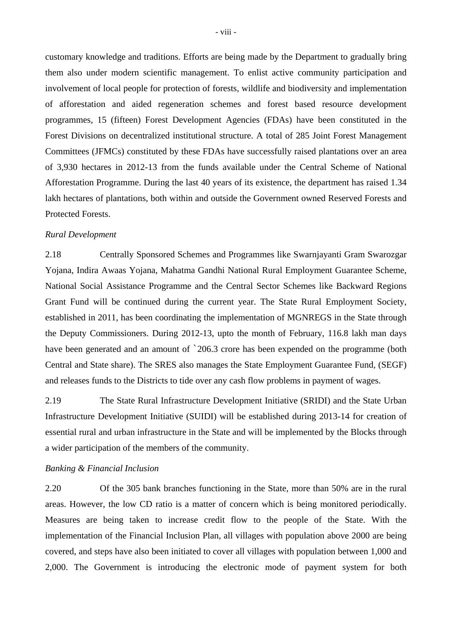customary knowledge and traditions. Efforts are being made by the Department to gradually bring them also under modern scientific management. To enlist active community participation and involvement of local people for protection of forests, wildlife and biodiversity and implementation of afforestation and aided regeneration schemes and forest based resource development programmes, 15 (fifteen) Forest Development Agencies (FDAs) have been constituted in the Forest Divisions on decentralized institutional structure. A total of 285 Joint Forest Management Committees (JFMCs) constituted by these FDAs have successfully raised plantations over an area of 3,930 hectares in 2012-13 from the funds available under the Central Scheme of National Afforestation Programme. During the last 40 years of its existence, the department has raised 1.34 lakh hectares of plantations, both within and outside the Government owned Reserved Forests and Protected Forests.

### *Rural Development*

2.18 Centrally Sponsored Schemes and Programmes like Swarnjayanti Gram Swarozgar Yojana, Indira Awaas Yojana, Mahatma Gandhi National Rural Employment Guarantee Scheme, National Social Assistance Programme and the Central Sector Schemes like Backward Regions Grant Fund will be continued during the current year. The State Rural Employment Society, established in 2011, has been coordinating the implementation of MGNREGS in the State through the Deputy Commissioners. During 2012-13, upto the month of February, 116.8 lakh man days have been generated and an amount of  $\degree$  206.3 crore has been expended on the programme (both Central and State share). The SRES also manages the State Employment Guarantee Fund, (SEGF) and releases funds to the Districts to tide over any cash flow problems in payment of wages.

2.19 The State Rural Infrastructure Development Initiative (SRIDI) and the State Urban Infrastructure Development Initiative (SUIDI) will be established during 2013-14 for creation of essential rural and urban infrastructure in the State and will be implemented by the Blocks through a wider participation of the members of the community.

#### *Banking & Financial Inclusion*

2.20 Of the 305 bank branches functioning in the State, more than 50% are in the rural areas. However, the low CD ratio is a matter of concern which is being monitored periodically. Measures are being taken to increase credit flow to the people of the State. With the implementation of the Financial Inclusion Plan, all villages with population above 2000 are being covered, and steps have also been initiated to cover all villages with population between 1,000 and 2,000. The Government is introducing the electronic mode of payment system for both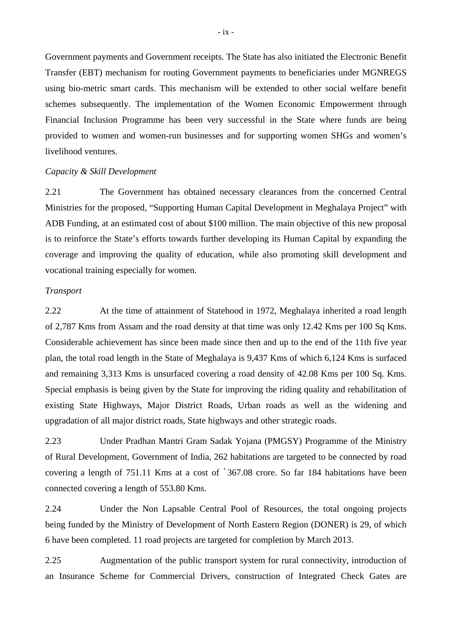Government payments and Government receipts. The State has also initiated the Electronic Benefit Transfer (EBT) mechanism for routing Government payments to beneficiaries under MGNREGS using bio-metric smart cards. This mechanism will be extended to other social welfare benefit schemes subsequently. The implementation of the Women Economic Empowerment through Financial Inclusion Programme has been very successful in the State where funds are being provided to women and women-run businesses and for supporting women SHGs and women's livelihood ventures.

### *Capacity & Skill Development*

2.21 The Government has obtained necessary clearances from the concerned Central Ministries for the proposed, "Supporting Human Capital Development in Meghalaya Project" with ADB Funding, at an estimated cost of about \$100 million. The main objective of this new proposal is to reinforce the State's efforts towards further developing its Human Capital by expanding the coverage and improving the quality of education, while also promoting skill development and vocational training especially for women.

### *Transport*

2.22 At the time of attainment of Statehood in 1972, Meghalaya inherited a road length of 2,787 Kms from Assam and the road density at that time was only 12.42 Kms per 100 Sq Kms. Considerable achievement has since been made since then and up to the end of the 11th five year plan, the total road length in the State of Meghalaya is 9,437 Kms of which 6,124 Kms is surfaced and remaining 3,313 Kms is unsurfaced covering a road density of 42.08 Kms per 100 Sq. Kms. Special emphasis is being given by the State for improving the riding quality and rehabilitation of existing State Highways, Major District Roads, Urban roads as well as the widening and upgradation of all major district roads, State highways and other strategic roads.

2.23 Under Pradhan Mantri Gram Sadak Yojana (PMGSY) Programme of the Ministry of Rural Development, Government of India, 262 habitations are targeted to be connected by road covering a length of 751.11 Kms at a cost of `367.08 crore. So far 184 habitations have been connected covering a length of 553.80 Kms.

2.24 Under the Non Lapsable Central Pool of Resources, the total ongoing projects being funded by the Ministry of Development of North Eastern Region (DONER) is 29, of which 6 have been completed. 11 road projects are targeted for completion by March 2013.

2.25 Augmentation of the public transport system for rural connectivity, introduction of an Insurance Scheme for Commercial Drivers, construction of Integrated Check Gates are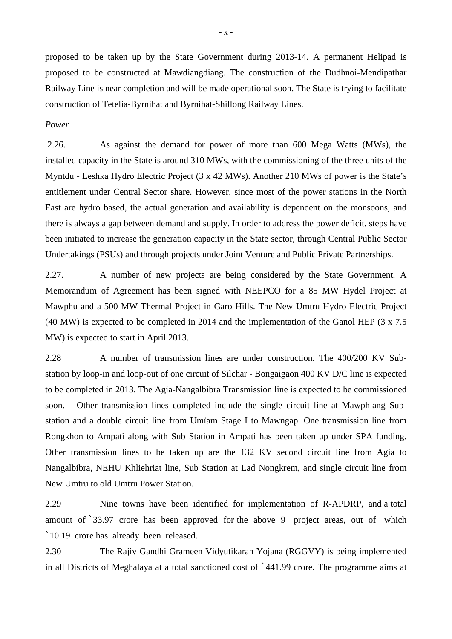proposed to be taken up by the State Government during 2013-14. A permanent Helipad is proposed to be constructed at Mawdiangdiang. The construction of the Dudhnoi-Mendipathar Railway Line is near completion and will be made operational soon. The State is trying to facilitate construction of Tetelia-Byrnihat and Byrnihat-Shillong Railway Lines.

#### *Power*

 2.26. As against the demand for power of more than 600 Mega Watts (MWs), the installed capacity in the State is around 310 MWs, with the commissioning of the three units of the Myntdu - Leshka Hydro Electric Project (3 x 42 MWs). Another 210 MWs of power is the State's entitlement under Central Sector share. However, since most of the power stations in the North East are hydro based, the actual generation and availability is dependent on the monsoons, and there is always a gap between demand and supply. In order to address the power deficit, steps have been initiated to increase the generation capacity in the State sector, through Central Public Sector Undertakings (PSUs) and through projects under Joint Venture and Public Private Partnerships.

2.27. A number of new projects are being considered by the State Government. A Memorandum of Agreement has been signed with NEEPCO for a 85 MW Hydel Project at Mawphu and a 500 MW Thermal Project in Garo Hills. The New Umtru Hydro Electric Project (40 MW) is expected to be completed in 2014 and the implementation of the Ganol HEP (3 x 7.5 MW) is expected to start in April 2013.

2.28 A number of transmission lines are under construction. The 400/200 KV Substation by loop-in and loop-out of one circuit of Silchar - Bongaigaon 400 KV D/C line is expected to be completed in 2013. The Agia-Nangalbibra Transmission line is expected to be commissioned soon. Other transmission lines completed include the single circuit line at Mawphlang Substation and a double circuit line from Umïam Stage I to Mawngap. One transmission line from Rongkhon to Ampati along with Sub Station in Ampati has been taken up under SPA funding. Other transmission lines to be taken up are the 132 KV second circuit line from Agia to Nangalbibra, NEHU Khliehriat line, Sub Station at Lad Nongkrem, and single circuit line from New Umtru to old Umtru Power Station.

2.29 Nine towns have been identified for implementation of R-APDRP, and a total amount of `33.97 crore has been approved for the above 9 project areas, out of which `10.19 crore has already been released.

2.30 The Rajiv Gandhi Grameen Vidyutikaran Yojana (RGGVY) is being implemented in all Districts of Meghalaya at a total sanctioned cost of `441.99 crore. The programme aims at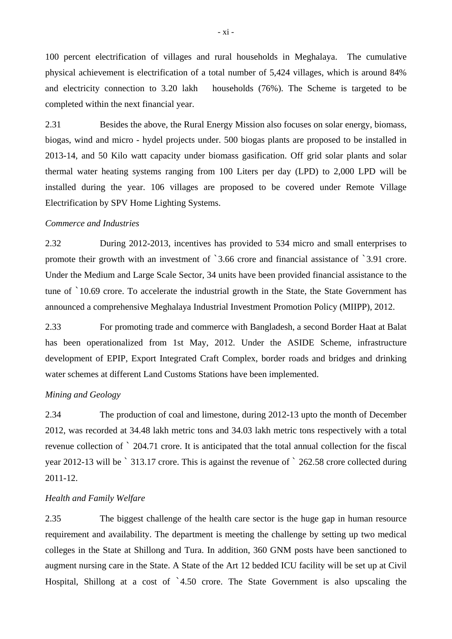100 percent electrification of villages and rural households in Meghalaya. The cumulative physical achievement is electrification of a total number of 5,424 villages, which is around 84% and electricity connection to 3.20 lakh households (76%). The Scheme is targeted to be completed within the next financial year.

2.31 Besides the above, the Rural Energy Mission also focuses on solar energy, biomass, biogas, wind and micro - hydel projects under. 500 biogas plants are proposed to be installed in 2013-14, and 50 Kilo watt capacity under biomass gasification. Off grid solar plants and solar thermal water heating systems ranging from 100 Liters per day (LPD) to 2,000 LPD will be installed during the year. 106 villages are proposed to be covered under Remote Village Electrification by SPV Home Lighting Systems.

# *Commerce and Industries*

2.32 During 2012-2013, incentives has provided to 534 micro and small enterprises to promote their growth with an investment of `3.66 crore and financial assistance of `3.91 crore. Under the Medium and Large Scale Sector, 34 units have been provided financial assistance to the tune of `10.69 crore. To accelerate the industrial growth in the State, the State Government has announced a comprehensive Meghalaya Industrial Investment Promotion Policy (MIIPP), 2012.

2.33 For promoting trade and commerce with Bangladesh, a second Border Haat at Balat has been operationalized from 1st May, 2012. Under the ASIDE Scheme, infrastructure development of EPIP, Export Integrated Craft Complex, border roads and bridges and drinking water schemes at different Land Customs Stations have been implemented.

# *Mining and Geology*

2.34 The production of coal and limestone, during 2012-13 upto the month of December 2012, was recorded at 34.48 lakh metric tons and 34.03 lakh metric tons respectively with a total revenue collection of ` 204.71 crore. It is anticipated that the total annual collection for the fiscal year 2012-13 will be ` 313.17 crore. This is against the revenue of ` 262.58 crore collected during 2011-12.

#### *Health and Family Welfare*

2.35 The biggest challenge of the health care sector is the huge gap in human resource requirement and availability. The department is meeting the challenge by setting up two medical colleges in the State at Shillong and Tura. In addition, 360 GNM posts have been sanctioned to augment nursing care in the State. A State of the Art 12 bedded ICU facility will be set up at Civil Hospital, Shillong at a cost of `4.50 crore. The State Government is also upscaling the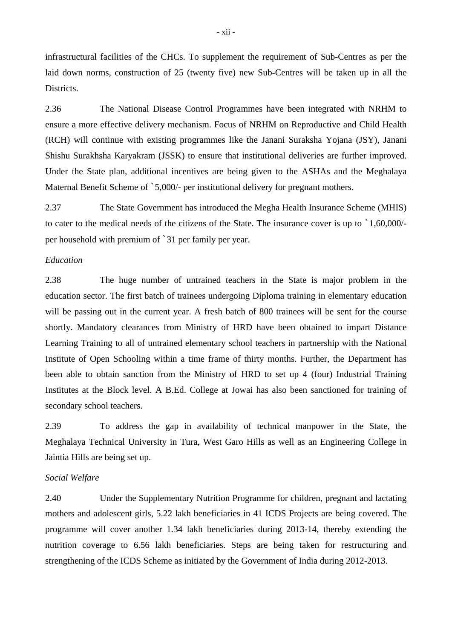infrastructural facilities of the CHCs. To supplement the requirement of Sub-Centres as per the laid down norms, construction of 25 (twenty five) new Sub-Centres will be taken up in all the Districts.

2.36 The National Disease Control Programmes have been integrated with NRHM to ensure a more effective delivery mechanism. Focus of NRHM on Reproductive and Child Health (RCH) will continue with existing programmes like the Janani Suraksha Yojana (JSY), Janani Shishu Surakhsha Karyakram (JSSK) to ensure that institutional deliveries are further improved. Under the State plan, additional incentives are being given to the ASHAs and the Meghalaya Maternal Benefit Scheme of `5,000/- per institutional delivery for pregnant mothers.

2.37 The State Government has introduced the Megha Health Insurance Scheme (MHIS) to cater to the medical needs of the citizens of the State. The insurance cover is up to `1,60,000/ per household with premium of `31 per family per year.

### *Education*

2.38 The huge number of untrained teachers in the State is major problem in the education sector. The first batch of trainees undergoing Diploma training in elementary education will be passing out in the current year. A fresh batch of 800 trainees will be sent for the course shortly. Mandatory clearances from Ministry of HRD have been obtained to impart Distance Learning Training to all of untrained elementary school teachers in partnership with the National Institute of Open Schooling within a time frame of thirty months. Further, the Department has been able to obtain sanction from the Ministry of HRD to set up 4 (four) Industrial Training Institutes at the Block level. A B.Ed. College at Jowai has also been sanctioned for training of secondary school teachers.

2.39 To address the gap in availability of technical manpower in the State, the Meghalaya Technical University in Tura, West Garo Hills as well as an Engineering College in Jaintia Hills are being set up.

# *Social Welfare*

2.40 Under the Supplementary Nutrition Programme for children, pregnant and lactating mothers and adolescent girls, 5.22 lakh beneficiaries in 41 ICDS Projects are being covered. The programme will cover another 1.34 lakh beneficiaries during 2013-14, thereby extending the nutrition coverage to 6.56 lakh beneficiaries. Steps are being taken for restructuring and strengthening of the ICDS Scheme as initiated by the Government of India during 2012-2013.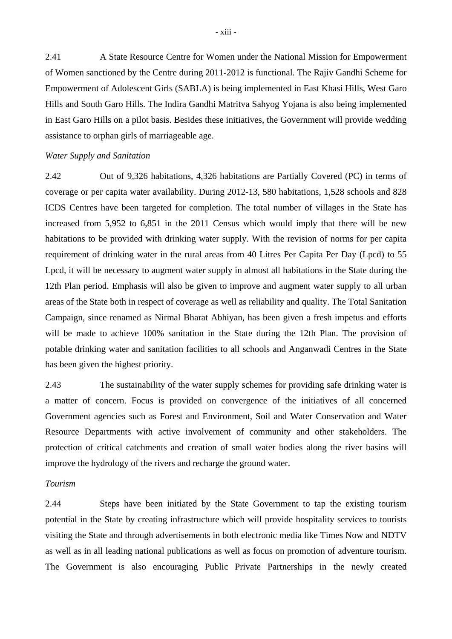2.41 A State Resource Centre for Women under the National Mission for Empowerment of Women sanctioned by the Centre during 2011-2012 is functional. The Rajiv Gandhi Scheme for Empowerment of Adolescent Girls (SABLA) is being implemented in East Khasi Hills, West Garo Hills and South Garo Hills. The Indira Gandhi Matritva Sahyog Yojana is also being implemented in East Garo Hills on a pilot basis. Besides these initiatives, the Government will provide wedding assistance to orphan girls of marriageable age.

#### *Water Supply and Sanitation*

2.42 Out of 9,326 habitations, 4,326 habitations are Partially Covered (PC) in terms of coverage or per capita water availability. During 2012-13, 580 habitations, 1,528 schools and 828 ICDS Centres have been targeted for completion. The total number of villages in the State has increased from 5,952 to 6,851 in the 2011 Census which would imply that there will be new habitations to be provided with drinking water supply. With the revision of norms for per capita requirement of drinking water in the rural areas from 40 Litres Per Capita Per Day (Lpcd) to 55 Lpcd, it will be necessary to augment water supply in almost all habitations in the State during the 12th Plan period. Emphasis will also be given to improve and augment water supply to all urban areas of the State both in respect of coverage as well as reliability and quality. The Total Sanitation Campaign, since renamed as Nirmal Bharat Abhiyan, has been given a fresh impetus and efforts will be made to achieve 100% sanitation in the State during the 12th Plan. The provision of potable drinking water and sanitation facilities to all schools and Anganwadi Centres in the State has been given the highest priority.

2.43 The sustainability of the water supply schemes for providing safe drinking water is a matter of concern. Focus is provided on convergence of the initiatives of all concerned Government agencies such as Forest and Environment, Soil and Water Conservation and Water Resource Departments with active involvement of community and other stakeholders. The protection of critical catchments and creation of small water bodies along the river basins will improve the hydrology of the rivers and recharge the ground water.

#### *Tourism*

2.44 Steps have been initiated by the State Government to tap the existing tourism potential in the State by creating infrastructure which will provide hospitality services to tourists visiting the State and through advertisements in both electronic media like Times Now and NDTV as well as in all leading national publications as well as focus on promotion of adventure tourism. The Government is also encouraging Public Private Partnerships in the newly created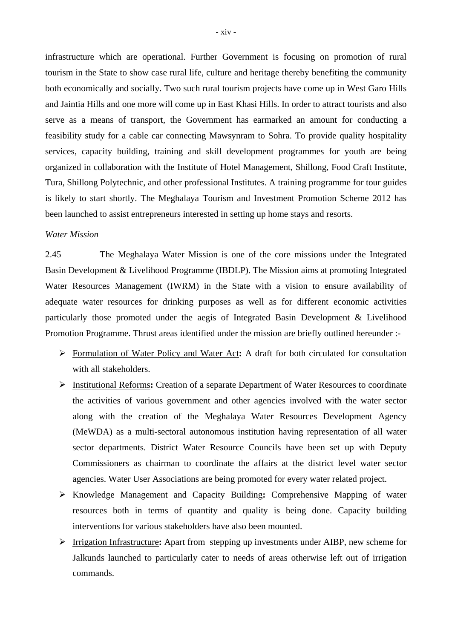infrastructure which are operational. Further Government is focusing on promotion of rural tourism in the State to show case rural life, culture and heritage thereby benefiting the community both economically and socially. Two such rural tourism projects have come up in West Garo Hills and Jaintia Hills and one more will come up in East Khasi Hills. In order to attract tourists and also serve as a means of transport, the Government has earmarked an amount for conducting a feasibility study for a cable car connecting Mawsynram to Sohra. To provide quality hospitality services, capacity building, training and skill development programmes for youth are being organized in collaboration with the Institute of Hotel Management, Shillong, Food Craft Institute, Tura, Shillong Polytechnic, and other professional Institutes. A training programme for tour guides is likely to start shortly. The Meghalaya Tourism and Investment Promotion Scheme 2012 has been launched to assist entrepreneurs interested in setting up home stays and resorts.

#### *Water Mission*

2.45 The Meghalaya Water Mission is one of the core missions under the Integrated Basin Development & Livelihood Programme (IBDLP). The Mission aims at promoting Integrated Water Resources Management (IWRM) in the State with a vision to ensure availability of adequate water resources for drinking purposes as well as for different economic activities particularly those promoted under the aegis of Integrated Basin Development & Livelihood Promotion Programme. Thrust areas identified under the mission are briefly outlined hereunder :-

- Formulation of Water Policy and Water Act**:** A draft for both circulated for consultation with all stakeholders.
- Institutional Reforms**:** Creation of a separate Department of Water Resources to coordinate the activities of various government and other agencies involved with the water sector along with the creation of the Meghalaya Water Resources Development Agency (MeWDA) as a multi-sectoral autonomous institution having representation of all water sector departments. District Water Resource Councils have been set up with Deputy Commissioners as chairman to coordinate the affairs at the district level water sector agencies. Water User Associations are being promoted for every water related project.
- Knowledge Management and Capacity Building**:** Comprehensive Mapping of water resources both in terms of quantity and quality is being done. Capacity building interventions for various stakeholders have also been mounted.
- Irrigation Infrastructure**:** Apart from stepping up investments under AIBP, new scheme for Jalkunds launched to particularly cater to needs of areas otherwise left out of irrigation commands.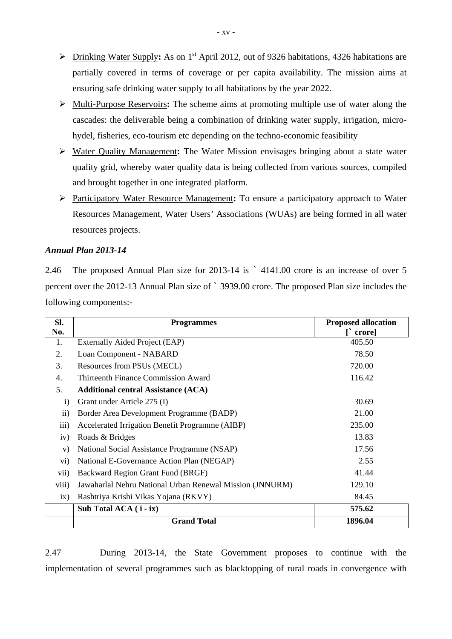- Drinking Water Supply**:** As on 1st April 2012, out of 9326 habitations, 4326 habitations are partially covered in terms of coverage or per capita availability. The mission aims at ensuring safe drinking water supply to all habitations by the year 2022.
- Multi-Purpose Reservoirs**:** The scheme aims at promoting multiple use of water along the cascades: the deliverable being a combination of drinking water supply, irrigation, microhydel, fisheries, eco-tourism etc depending on the techno-economic feasibility
- Water Quality Management**:** The Water Mission envisages bringing about a state water quality grid, whereby water quality data is being collected from various sources, compiled and brought together in one integrated platform.
- Participatory Water Resource Management**:** To ensure a participatory approach to Water Resources Management, Water Users' Associations (WUAs) are being formed in all water resources projects.

# *Annual Plan 2013-14*

2.46 The proposed Annual Plan size for 2013-14 is ` 4141.00 crore is an increase of over 5 percent over the 2012-13 Annual Plan size of ` 3939.00 crore. The proposed Plan size includes the following components:-

| Sl.               | <b>Programmes</b>                                        | <b>Proposed allocation</b> |
|-------------------|----------------------------------------------------------|----------------------------|
| No.               |                                                          | $\Gamma$ crore             |
| 1.                | Externally Aided Project (EAP)                           | 405.50                     |
| 2.                | Loan Component - NABARD                                  | 78.50                      |
| 3.                | Resources from PSUs (MECL)                               | 720.00                     |
| 4.                | Thirteenth Finance Commission Award                      | 116.42                     |
| 5.                | <b>Additional central Assistance (ACA)</b>               |                            |
| $\mathbf{i}$      | Grant under Article 275 (I)                              | 30.69                      |
| $\overline{ii}$ ) | Border Area Development Programme (BADP)                 | 21.00                      |
| iii)              | Accelerated Irrigation Benefit Programme (AIBP)          | 235.00                     |
| iv)               | Roads & Bridges                                          | 13.83                      |
| V)                | National Social Assistance Programme (NSAP)              | 17.56                      |
| $\mathbf{v}$ i)   | National E-Governance Action Plan (NEGAP)                | 2.55                       |
| vii)              | Backward Region Grant Fund (BRGF)                        | 41.44                      |
| viii)             | Jawaharlal Nehru National Urban Renewal Mission (JNNURM) | 129.10                     |
| ix)               | Rashtriya Krishi Vikas Yojana (RKVY)                     | 84.45                      |
|                   | Sub Total $ACA$ ( $i$ - $ix$ )                           | 575.62                     |
|                   | <b>Grand Total</b>                                       | 1896.04                    |

2.47 During 2013-14, the State Government proposes to continue with the implementation of several programmes such as blacktopping of rural roads in convergence with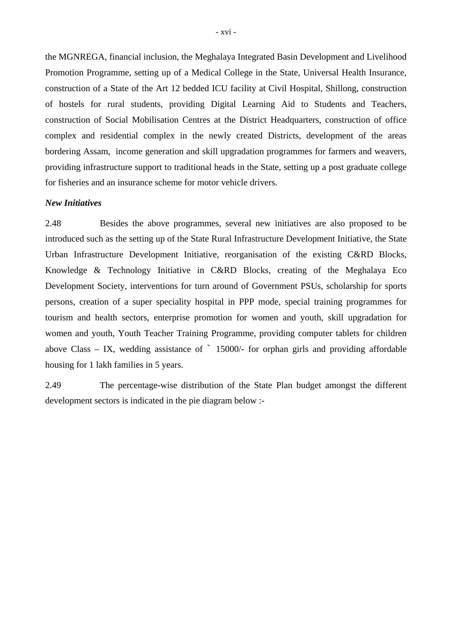the MGNREGA, financial inclusion, the Meghalaya Integrated Basin Development and Livelihood Promotion Programme, setting up of a Medical College in the State, Universal Health Insurance, construction of a State of the Art 12 bedded ICU facility at Civil Hospital, Shillong, construction of hostels for rural students, providing Digital Learning Aid to Students and Teachers, construction of Social Mobilisation Centres at the District Headquarters, construction of office complex and residential complex in the newly created Districts, development of the areas bordering Assam, income generation and skill upgradation programmes for farmers and weavers, providing infrastructure support to traditional heads in the State, setting up a post graduate college for fisheries and an insurance scheme for motor vehicle drivers.

#### *New Initiatives*

2.48 Besides the above programmes, several new initiatives are also proposed to be introduced such as the setting up of the State Rural Infrastructure Development Initiative, the State Urban Infrastructure Development Initiative, reorganisation of the existing C&RD Blocks, Knowledge & Technology Initiative in C&RD Blocks, creating of the Meghalaya Eco Development Society, interventions for turn around of Government PSUs, scholarship for sports persons, creation of a super speciality hospital in PPP mode, special training programmes for tourism and health sectors, enterprise promotion for women and youth, skill upgradation for women and youth, Youth Teacher Training Programme, providing computer tablets for children above Class – IX, wedding assistance of  $\degree$  15000/- for orphan girls and providing affordable housing for 1 lakh families in 5 years.

2.49 The percentage-wise distribution of the State Plan budget amongst the different development sectors is indicated in the pie diagram below :-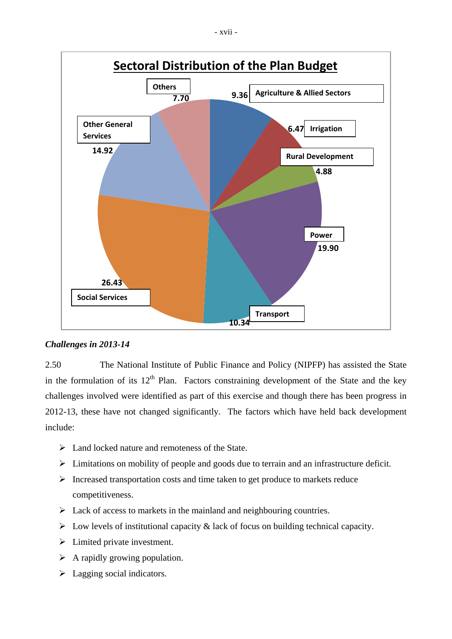

# *Challenges in 2013-14*

2.50The National Institute of Public Finance and Policy (NIPFP) has assisted the State in the formulation of its  $12<sup>th</sup>$  Plan. Factors constraining development of the State and the key challenges involved were identified as part of this exercise and though there has been progress in 2012-13, these have not changed significantly. The factors which have held back development include:

- $\triangleright$  Land locked nature and remoteness of the State.
- Limitations on mobility of people and goods due to terrain and an infrastructure deficit.
- $\triangleright$  Increased transportation costs and time taken to get produce to markets reduce competitiveness.
- $\triangleright$  Lack of access to markets in the mainland and neighbouring countries.
- $\triangleright$  Low levels of institutional capacity & lack of focus on building technical capacity.
- > Limited private investment.
- $\triangleright$  A rapidly growing population.
- $\blacktriangleright$  Lagging social indicators.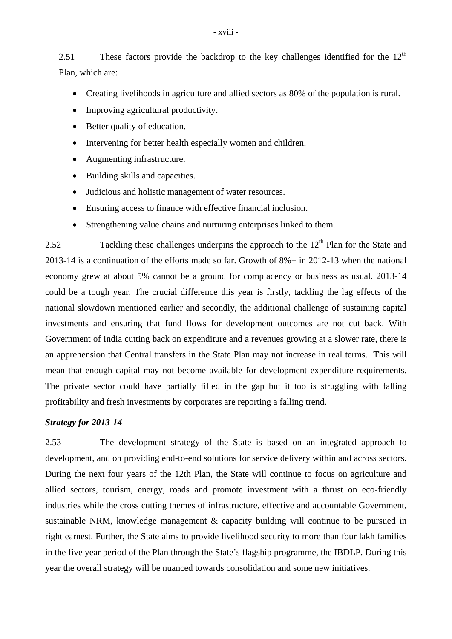2.51 These factors provide the backdrop to the key challenges identified for the  $12<sup>th</sup>$ Plan, which are:

- Creating livelihoods in agriculture and allied sectors as 80% of the population is rural.
- Improving agricultural productivity.
- Better quality of education.
- Intervening for better health especially women and children.
- Augmenting infrastructure.
- Building skills and capacities.
- Judicious and holistic management of water resources.
- Ensuring access to finance with effective financial inclusion.
- Strengthening value chains and nurturing enterprises linked to them.

2.52 Tackling these challenges underpins the approach to the  $12<sup>th</sup>$  Plan for the State and 2013-14 is a continuation of the efforts made so far. Growth of 8%+ in 2012-13 when the national economy grew at about 5% cannot be a ground for complacency or business as usual. 2013-14 could be a tough year. The crucial difference this year is firstly, tackling the lag effects of the national slowdown mentioned earlier and secondly, the additional challenge of sustaining capital investments and ensuring that fund flows for development outcomes are not cut back. With Government of India cutting back on expenditure and a revenues growing at a slower rate, there is an apprehension that Central transfers in the State Plan may not increase in real terms. This will mean that enough capital may not become available for development expenditure requirements. The private sector could have partially filled in the gap but it too is struggling with falling profitability and fresh investments by corporates are reporting a falling trend.

# *Strategy for 2013-14*

2.53 The development strategy of the State is based on an integrated approach to development, and on providing end-to-end solutions for service delivery within and across sectors. During the next four years of the 12th Plan, the State will continue to focus on agriculture and allied sectors, tourism, energy, roads and promote investment with a thrust on eco-friendly industries while the cross cutting themes of infrastructure, effective and accountable Government, sustainable NRM, knowledge management & capacity building will continue to be pursued in right earnest. Further, the State aims to provide livelihood security to more than four lakh families in the five year period of the Plan through the State's flagship programme, the IBDLP. During this year the overall strategy will be nuanced towards consolidation and some new initiatives.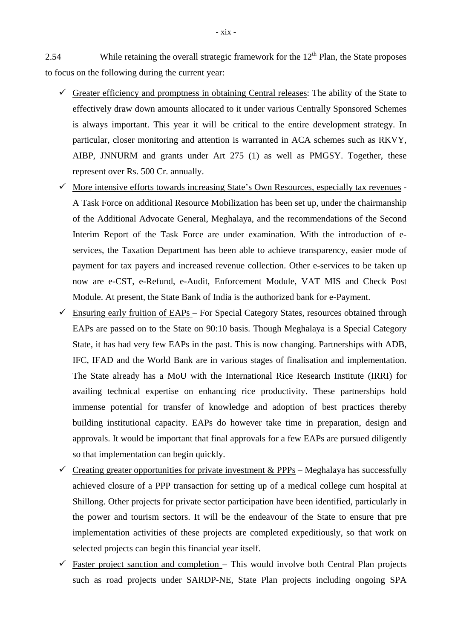2.54 While retaining the overall strategic framework for the  $12<sup>th</sup>$  Plan, the State proposes to focus on the following during the current year:

- Greater efficiency and promptness in obtaining Central releases: The ability of the State to effectively draw down amounts allocated to it under various Centrally Sponsored Schemes is always important. This year it will be critical to the entire development strategy. In particular, closer monitoring and attention is warranted in ACA schemes such as RKVY, AIBP, JNNURM and grants under Art 275 (1) as well as PMGSY. Together, these represent over Rs. 500 Cr. annually.
- $\checkmark$  More intensive efforts towards increasing State's Own Resources, especially tax revenues -A Task Force on additional Resource Mobilization has been set up, under the chairmanship of the Additional Advocate General, Meghalaya, and the recommendations of the Second Interim Report of the Task Force are under examination. With the introduction of eservices, the Taxation Department has been able to achieve transparency, easier mode of payment for tax payers and increased revenue collection. Other e-services to be taken up now are e-CST, e-Refund, e-Audit, Enforcement Module, VAT MIS and Check Post Module. At present, the State Bank of India is the authorized bank for e-Payment.
- Ensuring early fruition of EAPs For Special Category States, resources obtained through EAPs are passed on to the State on 90:10 basis. Though Meghalaya is a Special Category State, it has had very few EAPs in the past. This is now changing. Partnerships with ADB, IFC, IFAD and the World Bank are in various stages of finalisation and implementation. The State already has a MoU with the International Rice Research Institute (IRRI) for availing technical expertise on enhancing rice productivity. These partnerships hold immense potential for transfer of knowledge and adoption of best practices thereby building institutional capacity. EAPs do however take time in preparation, design and approvals. It would be important that final approvals for a few EAPs are pursued diligently so that implementation can begin quickly.
- $\checkmark$  Creating greater opportunities for private investment & PPPs Meghalaya has successfully achieved closure of a PPP transaction for setting up of a medical college cum hospital at Shillong. Other projects for private sector participation have been identified, particularly in the power and tourism sectors. It will be the endeavour of the State to ensure that pre implementation activities of these projects are completed expeditiously, so that work on selected projects can begin this financial year itself.
- $\checkmark$  Faster project sanction and completion This would involve both Central Plan projects such as road projects under SARDP-NE, State Plan projects including ongoing SPA